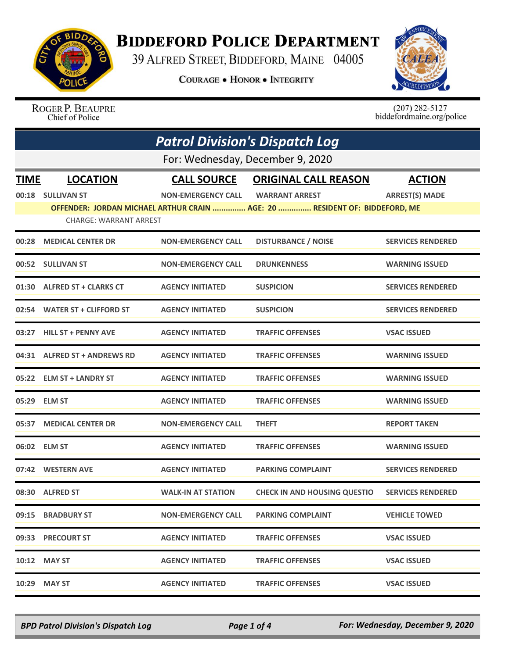

## **BIDDEFORD POLICE DEPARTMENT**

39 ALFRED STREET, BIDDEFORD, MAINE 04005

**COURAGE . HONOR . INTEGRITY** 



ROGER P. BEAUPRE Chief of Police

 $(207)$  282-5127<br>biddefordmaine.org/police

| <b>Patrol Division's Dispatch Log</b> |                                  |                           |                                                                            |                          |  |
|---------------------------------------|----------------------------------|---------------------------|----------------------------------------------------------------------------|--------------------------|--|
|                                       | For: Wednesday, December 9, 2020 |                           |                                                                            |                          |  |
| <b>TIME</b>                           | <b>LOCATION</b>                  | <b>CALL SOURCE</b>        | <b>ORIGINAL CALL REASON</b>                                                | <b>ACTION</b>            |  |
|                                       | 00:18 SULLIVAN ST                | <b>NON-EMERGENCY CALL</b> | <b>WARRANT ARREST</b>                                                      | <b>ARREST(S) MADE</b>    |  |
|                                       | <b>CHARGE: WARRANT ARREST</b>    |                           | OFFENDER: JORDAN MICHAEL ARTHUR CRAIN  AGE: 20  RESIDENT OF: BIDDEFORD, ME |                          |  |
| 00:28                                 | <b>MEDICAL CENTER DR</b>         | <b>NON-EMERGENCY CALL</b> | <b>DISTURBANCE / NOISE</b>                                                 | <b>SERVICES RENDERED</b> |  |
|                                       | 00:52 SULLIVAN ST                | <b>NON-EMERGENCY CALL</b> | <b>DRUNKENNESS</b>                                                         | <b>WARNING ISSUED</b>    |  |
|                                       | 01:30 ALFRED ST + CLARKS CT      | <b>AGENCY INITIATED</b>   | <b>SUSPICION</b>                                                           | <b>SERVICES RENDERED</b> |  |
|                                       | 02:54 WATER ST + CLIFFORD ST     | <b>AGENCY INITIATED</b>   | <b>SUSPICION</b>                                                           | <b>SERVICES RENDERED</b> |  |
| 03:27                                 | <b>HILL ST + PENNY AVE</b>       | <b>AGENCY INITIATED</b>   | <b>TRAFFIC OFFENSES</b>                                                    | <b>VSAC ISSUED</b>       |  |
|                                       | 04:31 ALFRED ST + ANDREWS RD     | <b>AGENCY INITIATED</b>   | <b>TRAFFIC OFFENSES</b>                                                    | <b>WARNING ISSUED</b>    |  |
| 05:22                                 | <b>ELM ST + LANDRY ST</b>        | <b>AGENCY INITIATED</b>   | <b>TRAFFIC OFFENSES</b>                                                    | <b>WARNING ISSUED</b>    |  |
| 05:29                                 | <b>ELM ST</b>                    | <b>AGENCY INITIATED</b>   | <b>TRAFFIC OFFENSES</b>                                                    | <b>WARNING ISSUED</b>    |  |
| 05:37                                 | <b>MEDICAL CENTER DR</b>         | <b>NON-EMERGENCY CALL</b> | <b>THEFT</b>                                                               | <b>REPORT TAKEN</b>      |  |
| 06:02                                 | <b>ELM ST</b>                    | <b>AGENCY INITIATED</b>   | <b>TRAFFIC OFFENSES</b>                                                    | <b>WARNING ISSUED</b>    |  |
| 07:42                                 | <b>WESTERN AVE</b>               | <b>AGENCY INITIATED</b>   | <b>PARKING COMPLAINT</b>                                                   | <b>SERVICES RENDERED</b> |  |
|                                       | 08:30 ALFRED ST                  | <b>WALK-IN AT STATION</b> | <b>CHECK IN AND HOUSING QUESTIO</b>                                        | <b>SERVICES RENDERED</b> |  |
|                                       | 09:15 BRADBURY ST                | <b>NON-EMERGENCY CALL</b> | <b>PARKING COMPLAINT</b>                                                   | <b>VEHICLE TOWED</b>     |  |
|                                       | 09:33 PRECOURT ST                | <b>AGENCY INITIATED</b>   | <b>TRAFFIC OFFENSES</b>                                                    | <b>VSAC ISSUED</b>       |  |
|                                       | 10:12 MAY ST                     | <b>AGENCY INITIATED</b>   | <b>TRAFFIC OFFENSES</b>                                                    | <b>VSAC ISSUED</b>       |  |
| 10:29                                 | <b>MAY ST</b>                    | <b>AGENCY INITIATED</b>   | <b>TRAFFIC OFFENSES</b>                                                    | <b>VSAC ISSUED</b>       |  |

*BPD Patrol Division's Dispatch Log Page 1 of 4 For: Wednesday, December 9, 2020*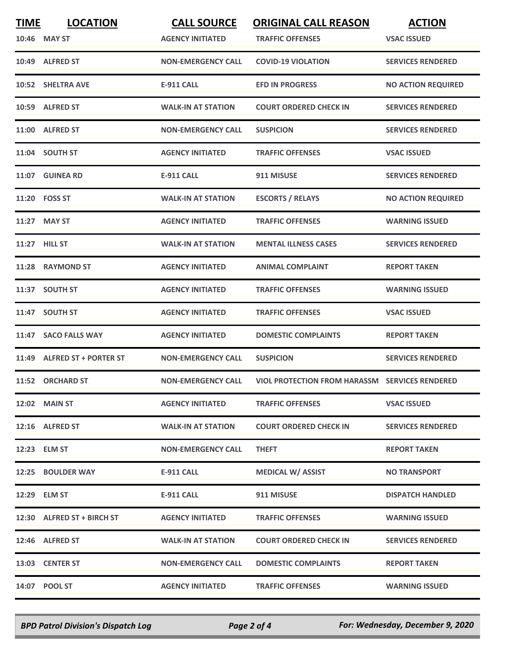| <b>TIME</b> | <b>LOCATION</b>             | <b>CALL SOURCE</b>        | <b>ORIGINAL CALL REASON</b>                           | <b>ACTION</b>             |
|-------------|-----------------------------|---------------------------|-------------------------------------------------------|---------------------------|
|             | 10:46 MAY ST                | <b>AGENCY INITIATED</b>   | <b>TRAFFIC OFFENSES</b>                               | <b>VSAC ISSUED</b>        |
|             | 10:49 ALFRED ST             | <b>NON-EMERGENCY CALL</b> | <b>COVID-19 VIOLATION</b>                             | <b>SERVICES RENDERED</b>  |
|             | 10:52 SHELTRA AVE           | <b>E-911 CALL</b>         | <b>EFD IN PROGRESS</b>                                | <b>NO ACTION REQUIRED</b> |
|             | 10:59 ALFRED ST             | <b>WALK-IN AT STATION</b> | <b>COURT ORDERED CHECK IN</b>                         | <b>SERVICES RENDERED</b>  |
|             | 11:00 ALFRED ST             | <b>NON-EMERGENCY CALL</b> | <b>SUSPICION</b>                                      | <b>SERVICES RENDERED</b>  |
|             | 11:04 SOUTH ST              | <b>AGENCY INITIATED</b>   | <b>TRAFFIC OFFENSES</b>                               | <b>VSAC ISSUED</b>        |
| 11:07       | <b>GUINEA RD</b>            | <b>E-911 CALL</b>         | 911 MISUSE                                            | <b>SERVICES RENDERED</b>  |
|             | 11:20 FOSS ST               | <b>WALK-IN AT STATION</b> | <b>ESCORTS / RELAYS</b>                               | <b>NO ACTION REQUIRED</b> |
|             | 11:27 MAY ST                | <b>AGENCY INITIATED</b>   | <b>TRAFFIC OFFENSES</b>                               | <b>WARNING ISSUED</b>     |
|             | 11:27 HILL ST               | <b>WALK-IN AT STATION</b> | <b>MENTAL ILLNESS CASES</b>                           | <b>SERVICES RENDERED</b>  |
|             | 11:28 RAYMOND ST            | <b>AGENCY INITIATED</b>   | <b>ANIMAL COMPLAINT</b>                               | <b>REPORT TAKEN</b>       |
|             | 11:37 SOUTH ST              | <b>AGENCY INITIATED</b>   | <b>TRAFFIC OFFENSES</b>                               | <b>WARNING ISSUED</b>     |
|             | 11:47 SOUTH ST              | <b>AGENCY INITIATED</b>   | <b>TRAFFIC OFFENSES</b>                               | <b>VSAC ISSUED</b>        |
| 11:47       | <b>SACO FALLS WAY</b>       | <b>AGENCY INITIATED</b>   | <b>DOMESTIC COMPLAINTS</b>                            | <b>REPORT TAKEN</b>       |
|             | 11:49 ALFRED ST + PORTER ST | <b>NON-EMERGENCY CALL</b> | <b>SUSPICION</b>                                      | <b>SERVICES RENDERED</b>  |
|             | 11:52 ORCHARD ST            | <b>NON-EMERGENCY CALL</b> | <b>VIOL PROTECTION FROM HARASSM SERVICES RENDERED</b> |                           |
|             | 12:02 MAIN ST               | <b>AGENCY INITIATED</b>   | <b>TRAFFIC OFFENSES</b>                               | <b>VSAC ISSUED</b>        |
|             | 12:16 ALFRED ST             | <b>WALK-IN AT STATION</b> | <b>COURT ORDERED CHECK IN</b>                         | <b>SERVICES RENDERED</b>  |
|             | 12:23 ELM ST                | <b>NON-EMERGENCY CALL</b> | <b>THEFT</b>                                          | <b>REPORT TAKEN</b>       |
|             | 12:25 BOULDER WAY           | E-911 CALL                | <b>MEDICAL W/ ASSIST</b>                              | <b>NO TRANSPORT</b>       |
|             | 12:29 ELM ST                | E-911 CALL                | 911 MISUSE                                            | <b>DISPATCH HANDLED</b>   |
|             | 12:30 ALFRED ST + BIRCH ST  | <b>AGENCY INITIATED</b>   | <b>TRAFFIC OFFENSES</b>                               | <b>WARNING ISSUED</b>     |
|             | 12:46 ALFRED ST             | <b>WALK-IN AT STATION</b> | <b>COURT ORDERED CHECK IN</b>                         | <b>SERVICES RENDERED</b>  |
|             | 13:03 CENTER ST             | <b>NON-EMERGENCY CALL</b> | <b>DOMESTIC COMPLAINTS</b>                            | <b>REPORT TAKEN</b>       |
|             | 14:07 POOL ST               | <b>AGENCY INITIATED</b>   | <b>TRAFFIC OFFENSES</b>                               | <b>WARNING ISSUED</b>     |

*BPD Patrol Division's Dispatch Log Page 2 of 4 For: Wednesday, December 9, 2020*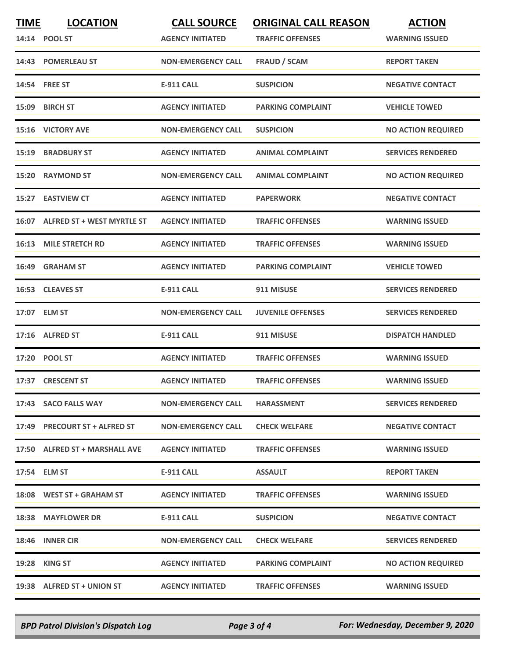| <b>TIME</b> | <b>LOCATION</b><br>14:14 POOL ST  | <b>CALL SOURCE</b><br><b>AGENCY INITIATED</b> | <b>ORIGINAL CALL REASON</b><br><b>TRAFFIC OFFENSES</b> | <b>ACTION</b><br><b>WARNING ISSUED</b> |
|-------------|-----------------------------------|-----------------------------------------------|--------------------------------------------------------|----------------------------------------|
| 14:43       | <b>POMERLEAU ST</b>               | <b>NON-EMERGENCY CALL</b>                     | <b>FRAUD / SCAM</b>                                    | <b>REPORT TAKEN</b>                    |
|             | 14:54 FREE ST                     | <b>E-911 CALL</b>                             | <b>SUSPICION</b>                                       | <b>NEGATIVE CONTACT</b>                |
| 15:09       | <b>BIRCH ST</b>                   | <b>AGENCY INITIATED</b>                       | <b>PARKING COMPLAINT</b>                               | <b>VEHICLE TOWED</b>                   |
|             | 15:16 VICTORY AVE                 | <b>NON-EMERGENCY CALL</b>                     | <b>SUSPICION</b>                                       | <b>NO ACTION REQUIRED</b>              |
| 15:19       | <b>BRADBURY ST</b>                | <b>AGENCY INITIATED</b>                       | <b>ANIMAL COMPLAINT</b>                                | <b>SERVICES RENDERED</b>               |
| 15:20       | <b>RAYMOND ST</b>                 | <b>NON-EMERGENCY CALL</b>                     | <b>ANIMAL COMPLAINT</b>                                | <b>NO ACTION REQUIRED</b>              |
|             | 15:27 EASTVIEW CT                 | <b>AGENCY INITIATED</b>                       | <b>PAPERWORK</b>                                       | <b>NEGATIVE CONTACT</b>                |
| 16:07       | <b>ALFRED ST + WEST MYRTLE ST</b> | <b>AGENCY INITIATED</b>                       | <b>TRAFFIC OFFENSES</b>                                | <b>WARNING ISSUED</b>                  |
| 16:13       | <b>MILE STRETCH RD</b>            | <b>AGENCY INITIATED</b>                       | <b>TRAFFIC OFFENSES</b>                                | <b>WARNING ISSUED</b>                  |
| 16:49       | <b>GRAHAM ST</b>                  | <b>AGENCY INITIATED</b>                       | <b>PARKING COMPLAINT</b>                               | <b>VEHICLE TOWED</b>                   |
|             | 16:53 CLEAVES ST                  | <b>E-911 CALL</b>                             | 911 MISUSE                                             | <b>SERVICES RENDERED</b>               |
|             | 17:07 ELM ST                      | <b>NON-EMERGENCY CALL</b>                     | <b>JUVENILE OFFENSES</b>                               | <b>SERVICES RENDERED</b>               |
| 17:16       | <b>ALFRED ST</b>                  | <b>E-911 CALL</b>                             | 911 MISUSE                                             | <b>DISPATCH HANDLED</b>                |
| 17:20       | <b>POOL ST</b>                    | <b>AGENCY INITIATED</b>                       | <b>TRAFFIC OFFENSES</b>                                | <b>WARNING ISSUED</b>                  |
|             | 17:37 CRESCENT ST                 | <b>AGENCY INITIATED</b>                       | <b>TRAFFIC OFFENSES</b>                                | <b>WARNING ISSUED</b>                  |
|             | 17:43 SACO FALLS WAY              | <b>NON-EMERGENCY CALL</b>                     | <b>HARASSMENT</b>                                      | <b>SERVICES RENDERED</b>               |
|             | 17:49 PRECOURT ST + ALFRED ST     | <b>NON-EMERGENCY CALL</b>                     | <b>CHECK WELFARE</b>                                   | <b>NEGATIVE CONTACT</b>                |
|             | 17:50 ALFRED ST + MARSHALL AVE    | <b>AGENCY INITIATED</b>                       | <b>TRAFFIC OFFENSES</b>                                | <b>WARNING ISSUED</b>                  |
|             | 17:54 ELM ST                      | E-911 CALL                                    | <b>ASSAULT</b>                                         | <b>REPORT TAKEN</b>                    |
|             | 18:08 WEST ST + GRAHAM ST         | <b>AGENCY INITIATED</b>                       | <b>TRAFFIC OFFENSES</b>                                | <b>WARNING ISSUED</b>                  |
|             | 18:38 MAYFLOWER DR                | E-911 CALL                                    | <b>SUSPICION</b>                                       | <b>NEGATIVE CONTACT</b>                |
|             | 18:46 INNER CIR                   | <b>NON-EMERGENCY CALL</b>                     | <b>CHECK WELFARE</b>                                   | <b>SERVICES RENDERED</b>               |
|             | 19:28 KING ST                     | <b>AGENCY INITIATED</b>                       | <b>PARKING COMPLAINT</b>                               | <b>NO ACTION REQUIRED</b>              |
|             | 19:38 ALFRED ST + UNION ST        | <b>AGENCY INITIATED</b>                       | <b>TRAFFIC OFFENSES</b>                                | <b>WARNING ISSUED</b>                  |

*BPD Patrol Division's Dispatch Log Page 3 of 4 For: Wednesday, December 9, 2020*